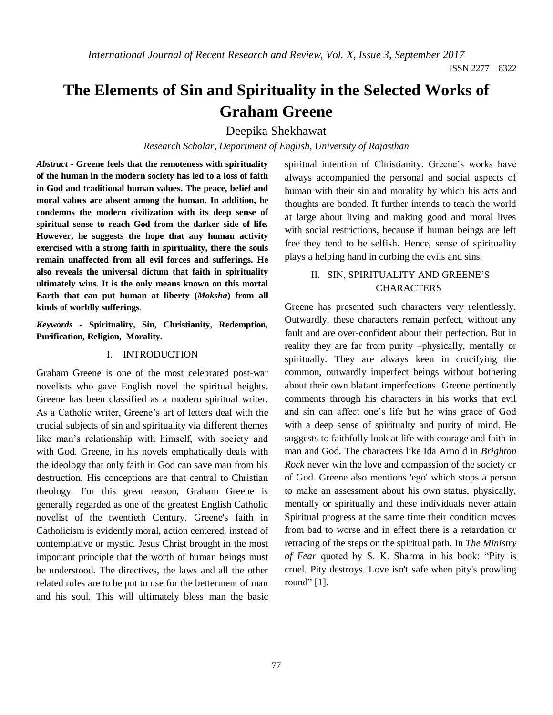*International Journal of Recent Research and Review, Vol. X, Issue 3, September 2017*

# **The Elements of Sin and Spirituality in the Selected Works of Graham Greene**

## Deepika Shekhawat

*Research Scholar, Department of English, University of Rajasthan*

*Abstract* **- Greene feels that the remoteness with spirituality of the human in the modern society has led to a loss of faith in God and traditional human values. The peace, belief and moral values are absent among the human. In addition, he condemns the modern civilization with its deep sense of spiritual sense to reach God from the darker side of life. However, he suggests the hope that any human activity exercised with a strong faith in spirituality, there the souls remain unaffected from all evil forces and sufferings. He also reveals the universal dictum that faith in spirituality ultimately wins. It is the only means known on this mortal Earth that can put human at liberty (***Moksha***) from all kinds of worldly sufferings**.

*Keywords* **- Spirituality, Sin, Christianity, Redemption, Purification, Religion, Morality.**

### I. INTRODUCTION

Graham Greene is one of the most celebrated post-war novelists who gave English novel the spiritual heights. Greene has been classified as a modern spiritual writer. As a Catholic writer, Greene's art of letters deal with the crucial subjects of sin and spirituality via different themes like man's relationship with himself, with society and with God. Greene, in his novels emphatically deals with the ideology that only faith in God can save man from his destruction. His conceptions are that central to Christian theology. For this great reason, Graham Greene is generally regarded as one of the greatest English Catholic novelist of the twentieth Century. Greene's faith in Catholicism is evidently moral, action centered, instead of contemplative or mystic. Jesus Christ brought in the most important principle that the worth of human beings must be understood. The directives, the laws and all the other related rules are to be put to use for the betterment of man and his soul. This will ultimately bless man the basic

spiritual intention of Christianity. Greene's works have always accompanied the personal and social aspects of human with their sin and morality by which his acts and thoughts are bonded. It further intends to teach the world at large about living and making good and moral lives with social restrictions, because if human beings are left free they tend to be selfish. Hence, sense of spirituality plays a helping hand in curbing the evils and sins.

## II. SIN, SPIRITUALITY AND GREENE'S CHARACTERS

Greene has presented such characters very relentlessly. Outwardly, these characters remain perfect, without any fault and are over-confident about their perfection. But in reality they are far from purity –physically, mentally or spiritually. They are always keen in crucifying the common, outwardly imperfect beings without bothering about their own blatant imperfections. Greene pertinently comments through his characters in his works that evil and sin can affect one's life but he wins grace of God with a deep sense of spiritualty and purity of mind. He suggests to faithfully look at life with courage and faith in man and God. The characters like Ida Arnold in *Brighton Rock* never win the love and compassion of the society or of God. Greene also mentions 'ego' which stops a person to make an assessment about his own status, physically, mentally or spiritually and these individuals never attain Spiritual progress at the same time their condition moves from bad to worse and in effect there is a retardation or retracing of the steps on the spiritual path. In *The Ministry of Fear* quoted by S. K. Sharma in his book: "Pity is cruel. Pity destroys. Love isn't safe when pity's prowling round" [1].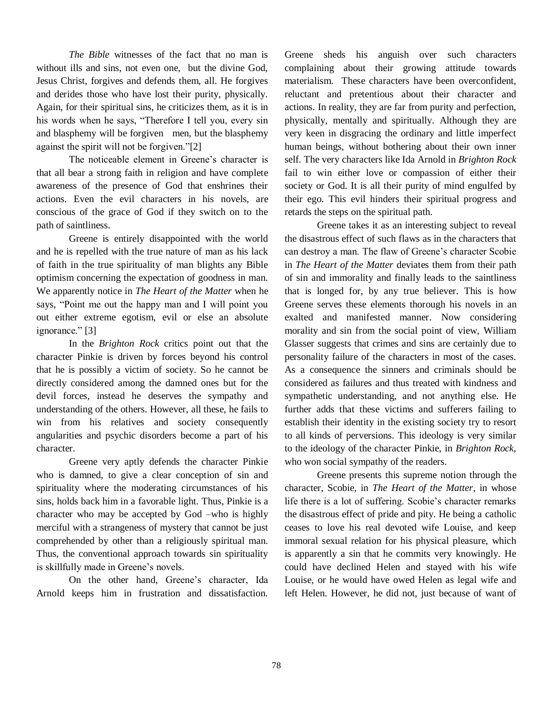*The Bible* witnesses of the fact that no man is without ills and sins, not even one, but the divine God, Jesus Christ, forgives and defends them, all. He forgives and derides those who have lost their purity, physically. Again, for their spiritual sins, he criticizes them, as it is in his words when he says, "Therefore I tell you, every sin and blasphemy will be forgiven men, but the blasphemy against the spirit will not be forgiven."[2]

The noticeable element in Greene's character is that all bear a strong faith in religion and have complete awareness of the presence of God that enshrines their actions. Even the evil characters in his novels, are conscious of the grace of God if they switch on to the path of saintliness.

Greene is entirely disappointed with the world and he is repelled with the true nature of man as his lack of faith in the true spirituality of man blights any Bible optimism concerning the expectation of goodness in man. We apparently notice in *The Heart of the Matter* when he says, "Point me out the happy man and I will point you out either extreme egotism, evil or else an absolute ignorance." [3]

In the *Brighton Rock* critics point out that the character Pinkie is driven by forces beyond his control that he is possibly a victim of society. So he cannot be directly considered among the damned ones but for the devil forces, instead he deserves the sympathy and understanding of the others. However, all these, he fails to win from his relatives and society consequently angularities and psychic disorders become a part of his character.

Greene very aptly defends the character Pinkie who is damned, to give a clear conception of sin and spirituality where the moderating circumstances of his sins, holds back him in a favorable light. Thus, Pinkie is a character who may be accepted by God –who is highly merciful with a strangeness of mystery that cannot be just comprehended by other than a religiously spiritual man. Thus, the conventional approach towards sin spirituality is skillfully made in Greene's novels.

On the other hand, Greene's character, Ida Arnold keeps him in frustration and dissatisfaction. Greene sheds his anguish over such characters complaining about their growing attitude towards materialism. These characters have been overconfident, reluctant and pretentious about their character and actions. In reality, they are far from purity and perfection, physically, mentally and spiritually. Although they are very keen in disgracing the ordinary and little imperfect human beings, without bothering about their own inner self. The very characters like Ida Arnold in *Brighton Rock* fail to win either love or compassion of either their society or God. It is all their purity of mind engulfed by their ego. This evil hinders their spiritual progress and retards the steps on the spiritual path.

Greene takes it as an interesting subject to reveal the disastrous effect of such flaws as in the characters that can destroy a man. The flaw of Greene's character Scobie in *The Heart of the Matter* deviates them from their path of sin and immorality and finally leads to the saintliness that is longed for, by any true believer. This is how Greene serves these elements thorough his novels in an exalted and manifested manner. Now considering morality and sin from the social point of view, William Glasser suggests that crimes and sins are certainly due to personality failure of the characters in most of the cases. As a consequence the sinners and criminals should be considered as failures and thus treated with kindness and sympathetic understanding, and not anything else. He further adds that these victims and sufferers failing to establish their identity in the existing society try to resort to all kinds of perversions. This ideology is very similar to the ideology of the character Pinkie, in *Brighton Rock*, who won social sympathy of the readers.

Greene presents this supreme notion through the character, Scobie, in *The Heart of the Matter*, in whose life there is a lot of suffering. Scobie's character remarks the disastrous effect of pride and pity. He being a catholic ceases to love his real devoted wife Louise, and keep immoral sexual relation for his physical pleasure, which is apparently a sin that he commits very knowingly. He could have declined Helen and stayed with his wife Louise, or he would have owed Helen as legal wife and left Helen. However, he did not, just because of want of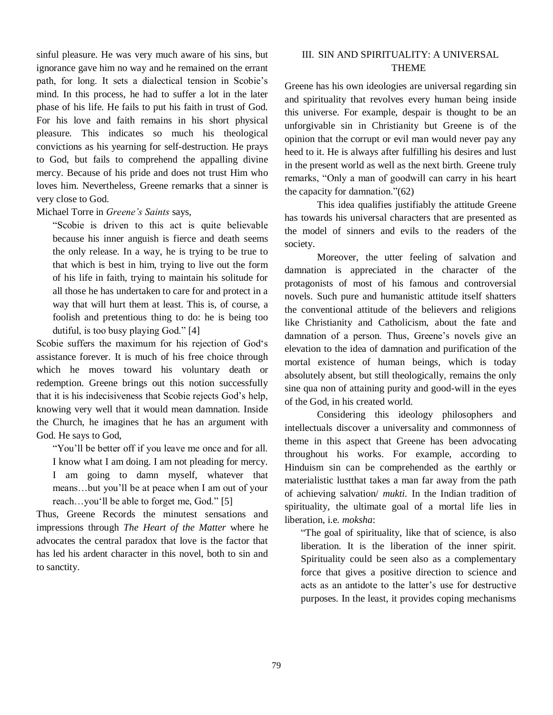sinful pleasure. He was very much aware of his sins, but ignorance gave him no way and he remained on the errant path, for long. It sets a dialectical tension in Scobie's mind. In this process, he had to suffer a lot in the later phase of his life. He fails to put his faith in trust of God. For his love and faith remains in his short physical pleasure. This indicates so much his theological convictions as his yearning for self-destruction. He prays to God, but fails to comprehend the appalling divine mercy. Because of his pride and does not trust Him who loves him. Nevertheless, Greene remarks that a sinner is very close to God.

Michael Torre in *Greene's Saints* says,

"Scobie is driven to this act is quite believable because his inner anguish is fierce and death seems the only release. In a way, he is trying to be true to that which is best in him, trying to live out the form of his life in faith, trying to maintain his solitude for all those he has undertaken to care for and protect in a way that will hurt them at least. This is, of course, a foolish and pretentious thing to do: he is being too dutiful, is too busy playing God." [4]

Scobie suffers the maximum for his rejection of God's assistance forever. It is much of his free choice through which he moves toward his voluntary death or redemption. Greene brings out this notion successfully that it is his indecisiveness that Scobie rejects God's help, knowing very well that it would mean damnation. Inside the Church, he imagines that he has an argument with God. He says to God,

"You'll be better off if you leave me once and for all. I know what I am doing. I am not pleading for mercy. I am going to damn myself, whatever that means…but you'll be at peace when I am out of your reach…you'll be able to forget me, God." [5]

Thus, Greene Records the minutest sensations and impressions through *The Heart of the Matter* where he advocates the central paradox that love is the factor that has led his ardent character in this novel, both to sin and to sanctity.

## III. SIN AND SPIRITUALITY: A UNIVERSAL THEME

Greene has his own ideologies are universal regarding sin and spirituality that revolves every human being inside this universe. For example, despair is thought to be an unforgivable sin in Christianity but Greene is of the opinion that the corrupt or evil man would never pay any heed to it. He is always after fulfilling his desires and lust in the present world as well as the next birth. Greene truly remarks, "Only a man of goodwill can carry in his heart the capacity for damnation."(62)

This idea qualifies justifiably the attitude Greene has towards his universal characters that are presented as the model of sinners and evils to the readers of the society.

Moreover, the utter feeling of salvation and damnation is appreciated in the character of the protagonists of most of his famous and controversial novels. Such pure and humanistic attitude itself shatters the conventional attitude of the believers and religions like Christianity and Catholicism, about the fate and damnation of a person. Thus, Greene's novels give an elevation to the idea of damnation and purification of the mortal existence of human beings, which is today absolutely absent, but still theologically, remains the only sine qua non of attaining purity and good-will in the eyes of the God, in his created world.

Considering this ideology philosophers and intellectuals discover a universality and commonness of theme in this aspect that Greene has been advocating throughout his works. For example, according to Hinduism sin can be comprehended as the earthly or materialistic lustthat takes a man far away from the path of achieving salvation/ *mukti.* In the Indian tradition of spirituality, the ultimate goal of a mortal life lies in liberation, i.e. *moksha*:

"The goal of spirituality, like that of science, is also liberation. It is the liberation of the inner spirit. Spirituality could be seen also as a complementary force that gives a positive direction to science and acts as an antidote to the latter's use for destructive purposes. In the least, it provides coping mechanisms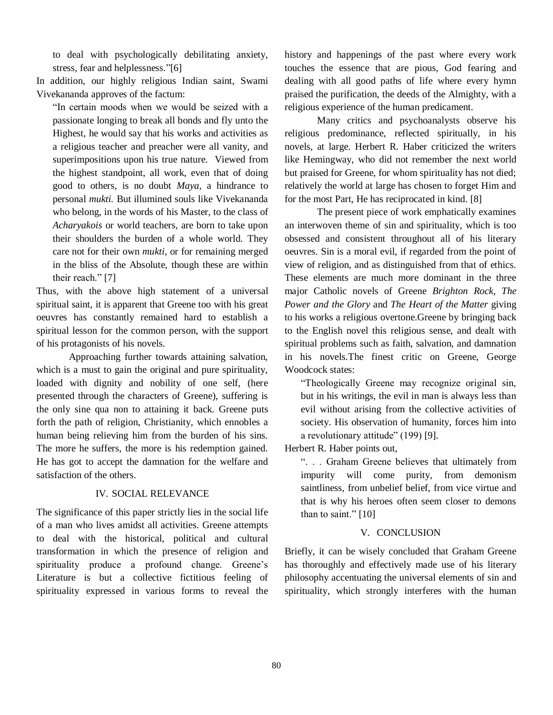to deal with psychologically debilitating anxiety, stress, fear and helplessness."[6]

In addition, our highly religious Indian saint, Swami Vivekananda approves of the factum:

"In certain moods when we would be seized with a passionate longing to break all bonds and fly unto the Highest, he would say that his works and activities as a religious teacher and preacher were all vanity, and superimpositions upon his true nature. Viewed from the highest standpoint, all work, even that of doing good to others, is no doubt *Maya,* a hindrance to personal *mukti.* But illumined souls like Vivekananda who belong, in the words of his Master, to the class of *Acharyakois* or world teachers, are born to take upon their shoulders the burden of a whole world. They care not for their own *mukti*, or for remaining merged in the bliss of the Absolute, though these are within their reach." [7]

Thus, with the above high statement of a universal spiritual saint, it is apparent that Greene too with his great oeuvres has constantly remained hard to establish a spiritual lesson for the common person, with the support of his protagonists of his novels.

Approaching further towards attaining salvation, which is a must to gain the original and pure spirituality, loaded with dignity and nobility of one self, (here presented through the characters of Greene), suffering is the only sine qua non to attaining it back. Greene puts forth the path of religion, Christianity, which ennobles a human being relieving him from the burden of his sins. The more he suffers, the more is his redemption gained. He has got to accept the damnation for the welfare and satisfaction of the others.

### IV. SOCIAL RELEVANCE

The significance of this paper strictly lies in the social life of a man who lives amidst all activities. Greene attempts to deal with the historical, political and cultural transformation in which the presence of religion and spirituality produce a profound change. Greene's Literature is but a collective fictitious feeling of spirituality expressed in various forms to reveal the history and happenings of the past where every work touches the essence that are pious, God fearing and dealing with all good paths of life where every hymn praised the purification, the deeds of the Almighty, with a religious experience of the human predicament.

Many critics and psychoanalysts observe his religious predominance, reflected spiritually, in his novels, at large. Herbert R. Haber criticized the writers like Hemingway, who did not remember the next world but praised for Greene, for whom spirituality has not died; relatively the world at large has chosen to forget Him and for the most Part, He has reciprocated in kind. [8]

The present piece of work emphatically examines an interwoven theme of sin and spirituality, which is too obsessed and consistent throughout all of his literary oeuvres. Sin is a moral evil, if regarded from the point of view of religion, and as distinguished from that of ethics. These elements are much more dominant in the three major Catholic novels of Greene *Brighton Rock*, *The Power and the Glory* and *The Heart of the Matter* giving to his works a religious overtone.Greene by bringing back to the English novel this religious sense, and dealt with spiritual problems such as faith, salvation, and damnation in his novels.The finest critic on Greene, George Woodcock states:

"Theologically Greene may recognize original sin, but in his writings, the evil in man is always less than evil without arising from the collective activities of society. His observation of humanity, forces him into a revolutionary attitude" (199) [9].

Herbert R. Haber points out,

". . . Graham Greene believes that ultimately from impurity will come purity, from demonism saintliness, from unbelief belief, from vice virtue and that is why his heroes often seem closer to demons than to saint." [10]

## V. CONCLUSION

Briefly, it can be wisely concluded that Graham Greene has thoroughly and effectively made use of his literary philosophy accentuating the universal elements of sin and spirituality, which strongly interferes with the human